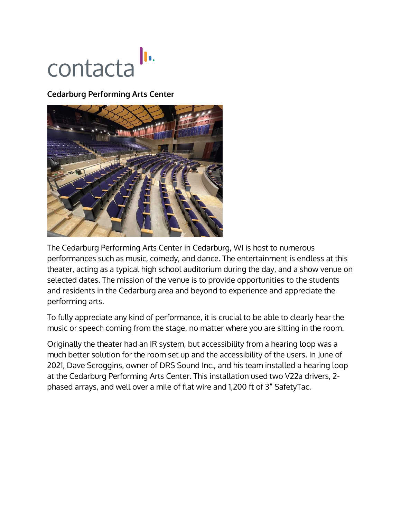## h. contacta

**Cedarburg Performing Arts Center**



The Cedarburg Performing Arts Center in Cedarburg, WI is host to numerous performances such as music, comedy, and dance. The entertainment is endless at this theater, acting as a typical high school auditorium during the day, and a show venue on selected dates. The mission of the venue is to provide opportunities to the students and residents in the Cedarburg area and beyond to experience and appreciate the performing arts.

To fully appreciate any kind of performance, it is crucial to be able to clearly hear the music or speech coming from the stage, no matter where you are sitting in the room.

Originally the theater had an IR system, but accessibility from a hearing loop was a much better solution for the room set up and the accessibility of the users. In June of 2021, Dave Scroggins, owner of DRS Sound Inc., and his team installed a hearing loop at the Cedarburg Performing Arts Center. This installation used two V22a drivers, 2 phased arrays, and well over a mile of flat wire and 1,200 ft of 3" SafetyTac.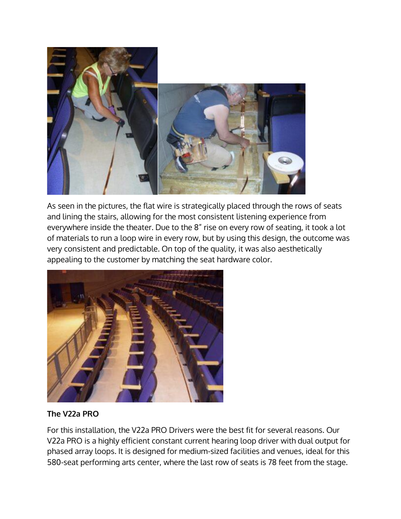

As seen in the pictures, the flat wire is strategically placed through the rows of seats and lining the stairs, allowing for the most consistent listening experience from everywhere inside the theater. Due to the 8" rise on every row of seating, it took a lot of materials to run a loop wire in every row, but by using this design, the outcome was very consistent and predictable. On top of the quality, it was also aesthetically appealing to the customer by matching the seat hardware color.



## **The V22a PRO**

For this installation, the V22a PRO Drivers were the best fit for several reasons. Our V22a PRO is a highly efficient constant current hearing loop driver with dual output for phased array loops. It is designed for medium-sized facilities and venues, ideal for this 580-seat performing arts center, where the last row of seats is 78 feet from the stage.